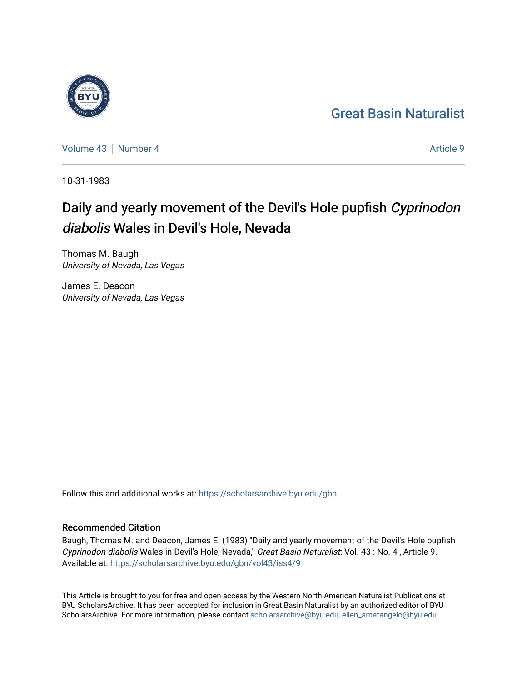## [Great Basin Naturalist](https://scholarsarchive.byu.edu/gbn)

[Volume 43](https://scholarsarchive.byu.edu/gbn/vol43) [Number 4](https://scholarsarchive.byu.edu/gbn/vol43/iss4) Article 9

10-31-1983

# Daily and yearly movement of the Devil's Hole pupfish Cyprinodon diabolis Wales in Devil's Hole, Nevada

Thomas M. Baugh University of Nevada, Las Vegas

James E. Deacon University of Nevada, Las Vegas

Follow this and additional works at: [https://scholarsarchive.byu.edu/gbn](https://scholarsarchive.byu.edu/gbn?utm_source=scholarsarchive.byu.edu%2Fgbn%2Fvol43%2Fiss4%2F9&utm_medium=PDF&utm_campaign=PDFCoverPages) 

## Recommended Citation

Baugh, Thomas M. and Deacon, James E. (1983) "Daily and yearly movement of the Devil's Hole pupfish Cyprinodon diabolis Wales in Devil's Hole, Nevada," Great Basin Naturalist: Vol. 43 : No. 4 , Article 9. Available at: [https://scholarsarchive.byu.edu/gbn/vol43/iss4/9](https://scholarsarchive.byu.edu/gbn/vol43/iss4/9?utm_source=scholarsarchive.byu.edu%2Fgbn%2Fvol43%2Fiss4%2F9&utm_medium=PDF&utm_campaign=PDFCoverPages)

This Article is brought to you for free and open access by the Western North American Naturalist Publications at BYU ScholarsArchive. It has been accepted for inclusion in Great Basin Naturalist by an authorized editor of BYU ScholarsArchive. For more information, please contact [scholarsarchive@byu.edu, ellen\\_amatangelo@byu.edu.](mailto:scholarsarchive@byu.edu,%20ellen_amatangelo@byu.edu)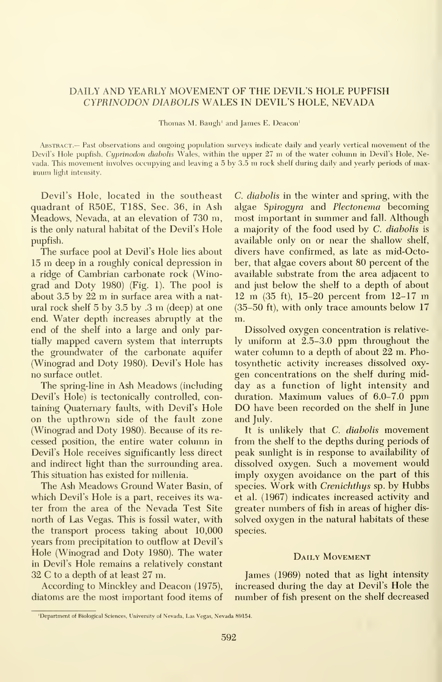### DAILY AND YEARLY MOVEMENT OF THE DEVIL'S HOLE PUPFISH CYPRINODON DIABOLIS WALES IN DEVIL'S HOLE, NEVADA

Thomas M. Baugh' and James E. Deacon'

Abstract.— Past observations and ongoing population surveys indicate daily and yearlv vertical movement of the Devil's Hole pupfish, Cyprinodon diabolis Wales, within the upper 27 m of the water column in Devil's Hole, Nevada. This movement involves occupying and leaving <sup>a</sup> <sup>5</sup> by 3.5 m rock shelf during daily and yearly periods of max imum light intensity.

Devil's Hole, located in the southeast quadrant of R50E, T18S, Sec. 36, in Ash Meadows, Nevada, at an elevation of 730 m, is the only natural habitat of the Devil's Hole pupfish.

The surface pool at Devil's Hole lies about <sup>15</sup> m deep in <sup>a</sup> roughly conical depression in a ridge of Cambrian carbonate rock (Winograd and Doty 1980) (Fig. 1). The pool is about 3.5 by <sup>22</sup> m in surface area with <sup>a</sup> natural rock shelf <sup>5</sup> by 3.5 by .3 m (deep) at one end. Water depth increases abruptly at the end of the shelf into a large and only partially mapped cavern system that interrupts the groundwater of the carbonate aquifer (Winograd and Doty 1980). Devil's Hole has no surface outlet.

The spring-line in Ash Meadows (including Devil's Hole) is tectonically controlled, containing Quaternary faults, with Devil's Hole on the upthrown side of the fault zone (Winograd and Doty 1980). Because of its re cessed position, the entire water column in Devil's Hole receives significantly less direct and indirect light than the surrounding area. This situation has existed for millenia.

The Ash Meadows Ground Water Basin, of which Devil's Hole is a part, receives its water from the area of the Nevada Test Site north of Las Vegas. This is fossil water, with the transport process taking about 10,000 years from precipitation to outflow at Devil's Hole (Winograd and Doty 1980). The water in Devil's Hole remains a relatively constant 32 C to <sup>a</sup> depth of at least 27 m.

According to Minckley and Deacon (1975), diatoms are the most important food items of C. diabolis in the winter and spring, with the algae Spirogyra and Plectonema becoming most important in summer and fall. Although a majority of the food used by C. diabolis is available only on or near the shallow shelf, divers have confirmed, as late as mid-October, that algae covers about 80 percent of the available substrate from the area adjacent to and just below the shelf to a depth of about <sup>12</sup> m (35 ft), 15-20 percent from 12-17 m (35-50 ft), with only trace amounts below 17 m.

Dissolved oxygen concentration is relatively uniform at 2.5-3.0 ppm throughout the water column to a depth of about 22 m. Photosynthetic activity increases dissolved oxy gen concentrations on the shelf during midday as a function of light intensity and duration. Maximum values of 6.0-7.0 ppm DO have been recorded on the shelf in June and July.

It is unlikely that C. diabolis movement from the shelf to the depths during periods of peak sunlight is in response to availability of dissolved oxygen. Such a movement would imply oxygen avoidance on the part of this species. Work with Crenichthys sp. by Hubbs et al. (1967) indicates increased activity and greater numbers of fish in areas of higher dis solved oxygen in the natural habitats of these species.

#### DAILY MOVEMENT

James (1969) noted that as light intensity increased during the day at Devil's Hole the number of fish present on the shelf decreased

<sup>&#</sup>x27;Department of Biological Sciences, University of Nevada, Las Vegas, Nevada 89154.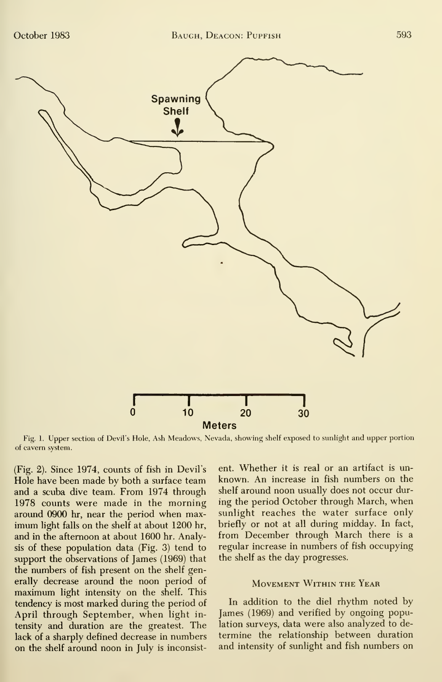

Fig. 1. Upper section of Devil's Hole, Ash Meadows, Nevada, showing shelf exposed to sunlight and upper portion of cavern system.

(Fig. 2). Since 1974, counts of fish in Devil's Hole have been made by both a surface team and a scuba dive team. From 1974 through 1978 counts were made in the morning around 0900 hr, near the period when max imum light falls on the shelf at about 1200 hr, and in the afternoon at about 1600 hr. Analysis of these population data (Fig. 3) tend to support the observations of James (1969) that the numbers of fish present on the shelf generally decrease around the noon period of maximum light intensity on the shelf. This tendency is most marked during the period of April through September, when light in tensity and duration are the greatest. The lack of a sharply defined decrease in numbers on the shelf around noon in July is inconsistent. Whether it is real or an artifact is un known. An increase in fish numbers on the shelf around noon usually does not occur dur ing the period October through March, when sunlight reaches the water surface only briefly or not at all during midday. In fact, from December through March there is a regular increase in numbers of fish occupying the shelf as the day progresses.

#### Movement Within the Year

In addition to the diel rhythm noted by James (1969) and verified by ongoing population surveys, data were also analyzed to de termine the relationship between duration and intensity of sunlight and fish numbers on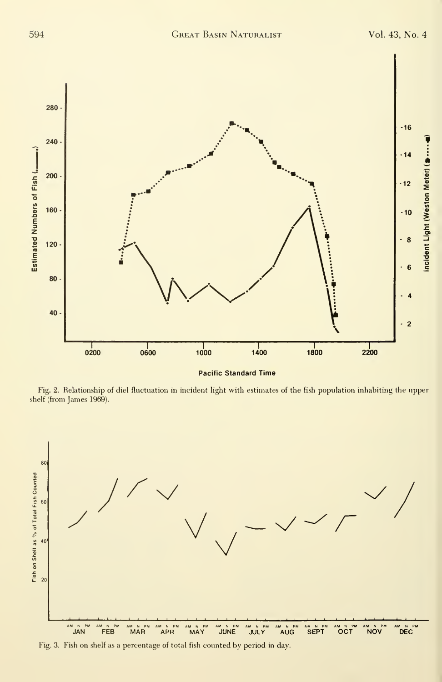

Fig. 2. Relationship of diel fluctuation in incident light with estimates of the fish population inhabiting the upper shelf (from James 1969).



Fig. 3. Fish on shelf as a percentage of total fish counted by period in day.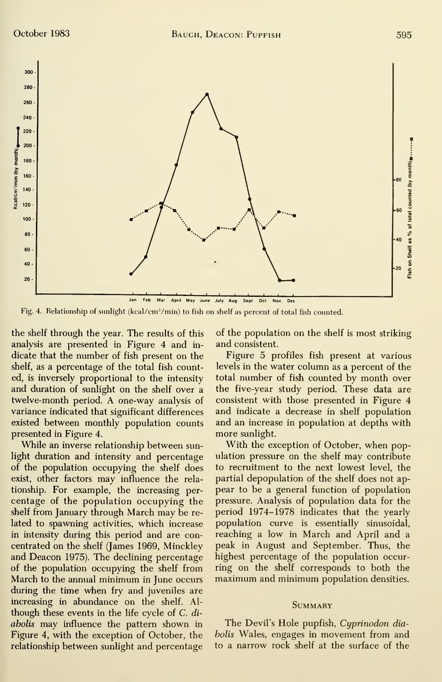

Fig. 4. Relationship of sunlight (kcal/cm<sup>2</sup>/min) to fish on shelf as percent of total fish counted.

the shelf through the year. The results of this analysis are presented in Figure 4 and in dicate that the number of fish present on the shelf, as a percentage of the total fish counted, is inversely proportional to the intensity and duration of sunlight on the shelf over a twelve-month period. A one-way analysis of variance indicated that significant differences existed between monthly population counts presented in Figure 4.

While an inverse relationship between sunlight duration and intensity and percentage of the population occupying the shelf does exist, other factors may influence the rela tionship. For example, the increasing per centage of the population occupying the shelf from January through March may be re lated to spawning activities, which increase in intensity during this period and are concentrated on the shelf (James 1969, Minckley and Deacon 1975). The declining percentage of the population occupying the shelf from March to the annual minimum in June occurs during the time when fry and juveniles are increasing in abundance on the shelf. Al though these events in the life cycle of C. di abolis may influence the pattern shown in Figure 4, with the exception of October, the relationship between sunlight and percentage

of the population on the shelf is most striking and consistent.

Figure 5 profiles fish present at various levels in the water column as a percent of the total number of fish counted by month over the five-year study period. These data are consistent with those presented in Figure 4 and indicate a decrease in shelf population and an increase in population at depths with more sunlight.

With the exception of October, when population pressure on the shelf may contribute to recruitment to the next lowest level, the partial depopulation of the shelf does not ap pear to be a general function of population pressure. Analysis of population data for the period 1974-1978 indicates that the yearly population curve is essentially sinusoidal, reaching a low in March and April and a peak in August and September. Thus, the highest percentage of the population occurring on the shelf corresponds to both the maximum and minimum population densities.

#### **SUMMARY**

The Devil's Hole pupfish, Cyprinodon diaholis Wales, engages in movement from and to a narrow rock shelf at the surface of the